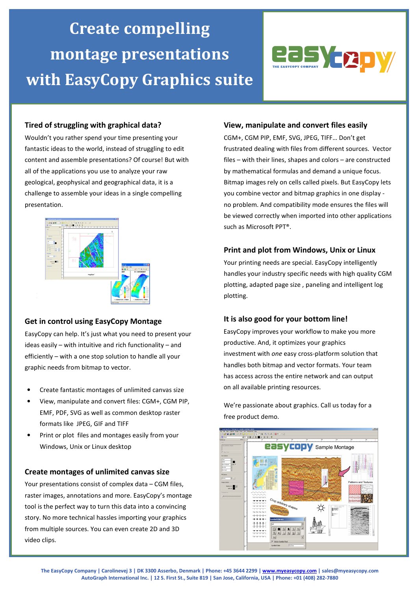# Create compelling montage presentations with EasyCopy Graphics suite



## Tired of struggling with graphical data?

Wouldn't you rather spend your time presenting your fantastic ideas to the world, instead of struggling to edit content and assemble presentations? Of course! But with all of the applications you use to analyze your raw geological, geophysical and geographical data, it is a challenge to assemble your ideas in a single compelling presentation.



### Get in control using EasyCopy Montage

EasyCopy can help. It's just what you need to present your ideas easily – with intuitive and rich functionality – and efficiently – with a one stop solution to handle all your graphic needs from bitmap to vector.

- Create fantastic montages of unlimited canvas size
- View, manipulate and convert files: CGM+, CGM PIP, EMF, PDF, SVG as well as common desktop raster formats like JPEG, GIF and TIFF
- Print or plot files and montages easily from your Windows, Unix or Linux desktop

#### Create montages of unlimited canvas size

Your presentations consist of complex data – CGM files, raster images, annotations and more. EasyCopy's montage tool is the perfect way to turn this data into a convincing story. No more technical hassles importing your graphics from multiple sources. You can even create 2D and 3D video clips.

### View, manipulate and convert files easily

CGM+, CGM PIP, EMF, SVG, JPEG, TIFF… Don't get frustrated dealing with files from different sources. Vector files – with their lines, shapes and colors – are constructed by mathematical formulas and demand a unique focus. Bitmap images rely on cells called pixels. But EasyCopy lets you combine vector and bitmap graphics in one display no problem. And compatibility mode ensures the files will be viewed correctly when imported into other applications such as Microsoft PPT®.

### Print and plot from Windows, Unix or Linux

Your printing needs are special. EasyCopy intelligently handles your industry specific needs with high quality CGM plotting, adapted page size , paneling and intelligent log plotting.

### It is also good for your bottom line!

EasyCopy improves your workflow to make you more productive. And, it optimizes your graphics investment with one easy cross-platform solution that handles both bitmap and vector formats. Your team has access across the entire network and can output on all available printing resources.

We're passionate about graphics. Call us today for a free product demo.